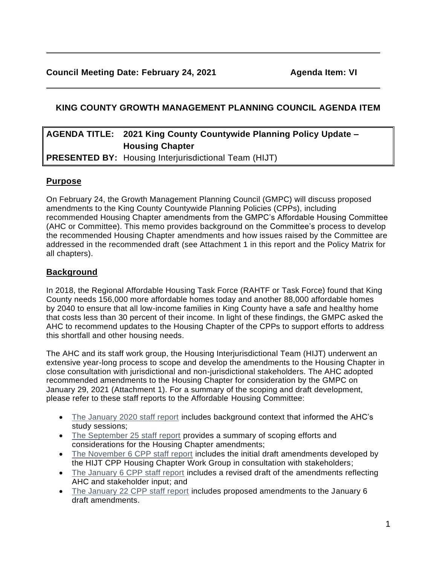# **KING COUNTY GROWTH MANAGEMENT PLANNING COUNCIL AGENDA ITEM**

# **AGENDA TITLE: 2021 King County Countywide Planning Policy Update – Housing Chapter PRESENTED BY:** Housing Interjurisdictional Team (HIJT)

**Purpose**

On February 24, the Growth Management Planning Council (GMPC) will discuss proposed amendments to the King County Countywide Planning Policies (CPPs), including recommended Housing Chapter amendments from the GMPC's Affordable Housing Committee (AHC or Committee). This memo provides background on the Committee's process to develop the recommended Housing Chapter amendments and how issues raised by the Committee are addressed in the recommended draft (see Attachment 1 in this report and the Policy Matrix for all chapters).

# **Background**

In 2018, the Regional Affordable Housing Task Force (RAHTF or Task Force) found that King County needs 156,000 more affordable homes today and another 88,000 affordable homes by 2040 to ensure that all low-income families in King County have a safe and healthy home that costs less than 30 percent of their income. In light of these findings, the GMPC asked the AHC to recommend updates to the Housing Chapter of the CPPs to support efforts to address this shortfall and other housing needs.

The AHC and its staff work group, the Housing Interjurisdictional Team (HIJT) underwent an extensive year-long process to scope and develop the amendments to the Housing Chapter in close consultation with jurisdictional and non-jurisdictional stakeholders. The AHC adopted recommended amendments to the Housing Chapter for consideration by the GMPC on January 29, 2021 (Attachment 1). For a summary of the scoping and draft development, please refer to these staff reports to the Affordable Housing Committee:

- [The January 2020 staff report](https://www.kingcounty.gov/~/media/depts/community-human-services/housing-homelessness-community-development/documents/affordable-housing-committee/Meeting_01-17-2020/CPP_Staff_Report_to_AHC.ashx?la=en) includes background context that informed the AHC's study sessions;
- [The September 25 staff report](https://www.kingcounty.gov/~/media/depts/community-human-services/housing-homelessness-community-development/documents/affordable-housing-committee/Meeting_09-30-2020/AHC_CPP_Housing_Chapter_Memo.ashx?la=en) provides a summary of scoping efforts and considerations for the Housing Chapter amendments;
- [The November 6 CPP staff report](https://www.kingcounty.gov/~/media/depts/community-human-services/housing-homelessness-community-development/documents/affordable-housing-committee/Meeting_11-13-2020/CPP_Housing_Chapter_Memo.ashx?la=en) includes the initial draft amendments developed by the HIJT CPP Housing Chapter Work Group in consultation with stakeholders;
- [The January 6 CPP staff report](https://www.kingcounty.gov/~/media/depts/community-human-services/housing-homelessness-community-development/documents/affordable-housing-committee/Meeting_01-29-2021/AHCCPPHousingChapterMemoandPolicies162021.ashx?la=en) includes a revised draft of the amendments reflecting AHC and stakeholder input; and
- [The January 22 CPP staff report](https://www.kingcounty.gov/~/media/depts/community-human-services/housing-homelessness-community-development/documents/affordable-housing-committee/Meeting_01-29-2021/20200106_CPPHousingChapter_Memo.ashx?la=en) includes proposed amendments to the January 6 draft amendments.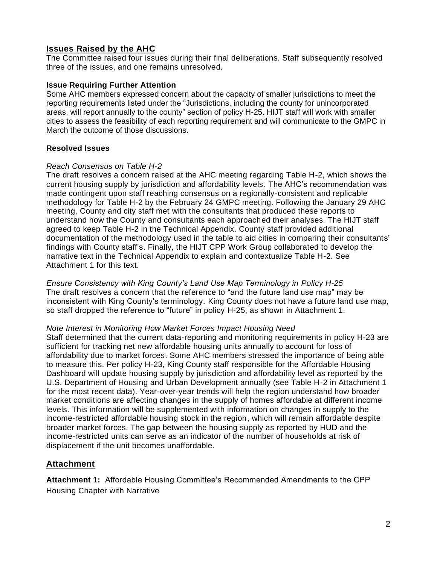## **Issues Raised by the AHC**

The Committee raised four issues during their final deliberations. Staff subsequently resolved three of the issues, and one remains unresolved.

#### **Issue Requiring Further Attention**

Some AHC members expressed concern about the capacity of smaller jurisdictions to meet the reporting requirements listed under the "Jurisdictions, including the county for unincorporated areas, will report annually to the county" section of policy H-25. HIJT staff will work with smaller cities to assess the feasibility of each reporting requirement and will communicate to the GMPC in March the outcome of those discussions.

#### **Resolved Issues**

#### *Reach Consensus on Table H-2*

The draft resolves a concern raised at the AHC meeting regarding Table H-2, which shows the current housing supply by jurisdiction and affordability levels. The AHC's recommendation was made contingent upon staff reaching consensus on a regionally-consistent and replicable methodology for Table H-2 by the February 24 GMPC meeting. Following the January 29 AHC meeting, County and city staff met with the consultants that produced these reports to understand how the County and consultants each approached their analyses. The HIJT staff agreed to keep Table H-2 in the Technical Appendix. County staff provided additional documentation of the methodology used in the table to aid cities in comparing their consultants' findings with County staff's. Finally, the HIJT CPP Work Group collaborated to develop the narrative text in the Technical Appendix to explain and contextualize Table H-2. See Attachment 1 for this text.

*Ensure Consistency with King County's Land Use Map Terminology in Policy H-25* The draft resolves a concern that the reference to "and the future land use map" may be inconsistent with King County's terminology. King County does not have a future land use map, so staff dropped the reference to "future" in policy H-25, as shown in Attachment 1.

#### *Note Interest in Monitoring How Market Forces Impact Housing Need*

Staff determined that the current data-reporting and monitoring requirements in policy H-23 are sufficient for tracking net new affordable housing units annually to account for loss of affordability due to market forces. Some AHC members stressed the importance of being able to measure this. Per policy H-23, King County staff responsible for the Affordable Housing Dashboard will update housing supply by jurisdiction and affordability level as reported by the U.S. Department of Housing and Urban Development annually (see Table H-2 in Attachment 1 for the most recent data). Year-over-year trends will help the region understand how broader market conditions are affecting changes in the supply of homes affordable at different income levels. This information will be supplemented with information on changes in supply to the income-restricted affordable housing stock in the region, which will remain affordable despite broader market forces. The gap between the housing supply as reported by HUD and the income-restricted units can serve as an indicator of the number of households at risk of displacement if the unit becomes unaffordable.

### **Attachment**

**Attachment 1:** Affordable Housing Committee's Recommended Amendments to the CPP Housing Chapter with Narrative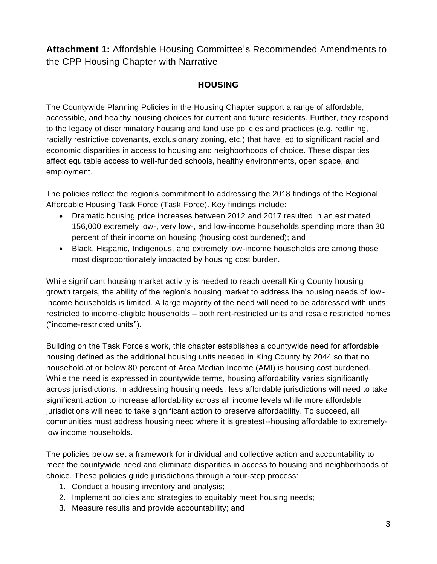**Attachment 1:** Affordable Housing Committee's Recommended Amendments to the CPP Housing Chapter with Narrative

# **HOUSING**

The Countywide Planning Policies in the Housing Chapter support a range of affordable, accessible, and healthy housing choices for current and future residents. Further, they respond to the legacy of discriminatory housing and land use policies and practices (e.g. redlining, racially restrictive covenants, exclusionary zoning, etc.) that have led to significant racial and economic disparities in access to housing and neighborhoods of choice. These disparities affect equitable access to well-funded schools, healthy environments, open space, and employment.

The policies reflect the region's commitment to addressing the 2018 findings of the Regional Affordable Housing Task Force (Task Force). Key findings include:

- Dramatic housing price increases between 2012 and 2017 resulted in an estimated 156,000 extremely low-, very low-, and low-income households spending more than 30 percent of their income on housing (housing cost burdened); and
- Black, Hispanic, Indigenous, and extremely low-income households are among those most disproportionately impacted by housing cost burden.

While significant housing market activity is needed to reach overall King County housing growth targets, the ability of the region's housing market to address the housing needs of lowincome households is limited. A large majority of the need will need to be addressed with units restricted to income-eligible households – both rent-restricted units and resale restricted homes ("income-restricted units").

Building on the Task Force's work, this chapter establishes a countywide need for affordable housing defined as the additional housing units needed in King County by 2044 so that no household at or below 80 percent of Area Median Income (AMI) is housing cost burdened. While the need is expressed in countywide terms, housing affordability varies significantly across jurisdictions. In addressing housing needs, less affordable jurisdictions will need to take significant action to increase affordability across all income levels while more affordable jurisdictions will need to take significant action to preserve affordability. To succeed, all communities must address housing need where it is greatest--housing affordable to extremelylow income households.

The policies below set a framework for individual and collective action and accountability to meet the countywide need and eliminate disparities in access to housing and neighborhoods of choice. These policies guide jurisdictions through a four-step process:

- 1. Conduct a housing inventory and analysis;
- 2. Implement policies and strategies to equitably meet housing needs;
- 3. Measure results and provide accountability; and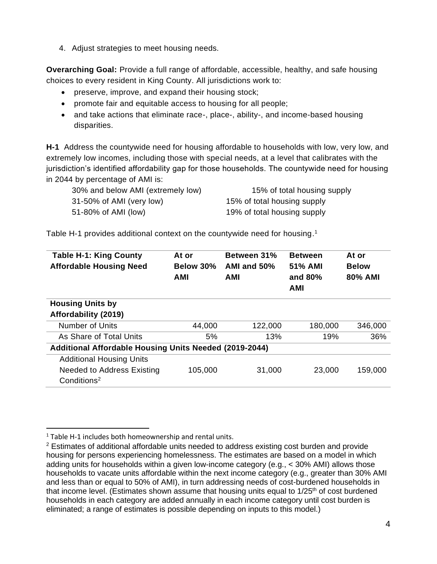4. Adjust strategies to meet housing needs.

**Overarching Goal:** Provide a full range of affordable, accessible, healthy, and safe housing choices to every resident in King County. All jurisdictions work to:

- preserve, improve, and expand their housing stock;
- promote fair and equitable access to housing for all people;
- and take actions that eliminate race-, place-, ability-, and income-based housing disparities.

**H-1** Address the countywide need for housing affordable to households with low, very low, and extremely low incomes, including those with special needs, at a level that calibrates with the jurisdiction's identified affordability gap for those households. The countywide need for housing in 2044 by percentage of AMI is:

| 30% and below AMI (extremely low) | 15% of total housing supply |
|-----------------------------------|-----------------------------|
| 31-50% of AMI (very low)          | 15% of total housing supply |
| 51-80% of AMI (low)               | 19% of total housing supply |

Table H-1 provides additional context on the countywide need for housing.<sup>1</sup>

| <b>Table H-1: King County</b><br><b>Affordable Housing Need</b> | At or<br>Below 30%<br><b>AMI</b> | <b>Between 31%</b><br>AMI and 50%<br><b>AMI</b> | <b>Between</b><br>51% AMI<br>and 80%<br>AMI | At or<br><b>Below</b><br>80% AMI |  |  |  |
|-----------------------------------------------------------------|----------------------------------|-------------------------------------------------|---------------------------------------------|----------------------------------|--|--|--|
| <b>Housing Units by</b>                                         |                                  |                                                 |                                             |                                  |  |  |  |
| Affordability (2019)                                            |                                  |                                                 |                                             |                                  |  |  |  |
| <b>Number of Units</b>                                          | 44,000                           | 122,000                                         | 180,000                                     | 346,000                          |  |  |  |
| As Share of Total Units                                         | 5%                               | 13%                                             | 19%                                         | 36%                              |  |  |  |
| Additional Affordable Housing Units Needed (2019-2044)          |                                  |                                                 |                                             |                                  |  |  |  |
| <b>Additional Housing Units</b>                                 |                                  |                                                 |                                             |                                  |  |  |  |
| <b>Needed to Address Existing</b><br>Conditions <sup>2</sup>    | 105,000                          | 31,000                                          | 23,000                                      | 159,000                          |  |  |  |
|                                                                 |                                  |                                                 |                                             |                                  |  |  |  |

 $1$  Table H-1 includes both homeownership and rental units.

<sup>&</sup>lt;sup>2</sup> Estimates of additional affordable units needed to address existing cost burden and provide housing for persons experiencing homelessness. The estimates are based on a model in which adding units for households within a given low-income category (e.g., < 30% AMI) allows those households to vacate units affordable within the next income category (e.g., greater than 30% AMI and less than or equal to 50% of AMI), in turn addressing needs of cost-burdened households in that income level. (Estimates shown assume that housing units equal to  $1/25<sup>th</sup>$  of cost burdened households in each category are added annually in each income category until cost burden is eliminated; a range of estimates is possible depending on inputs to this model.)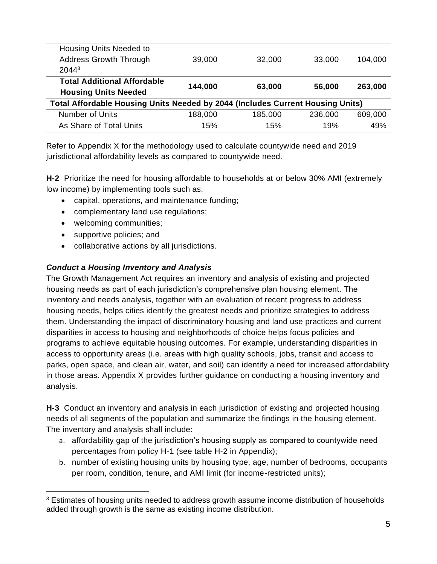| Housing Units Needed to<br>Address Growth Through<br>2044 <sup>3</sup>         | 39,000  | 32,000  | 33,000  | 104,000 |  |  |  |
|--------------------------------------------------------------------------------|---------|---------|---------|---------|--|--|--|
| <b>Total Additional Affordable</b><br><b>Housing Units Needed</b>              | 144,000 | 63,000  | 56,000  | 263,000 |  |  |  |
| Total Affordable Housing Units Needed by 2044 (Includes Current Housing Units) |         |         |         |         |  |  |  |
| <b>Number of Units</b>                                                         | 188,000 | 185,000 | 236,000 | 609,000 |  |  |  |
| As Share of Total Units                                                        | 15%     | 15%     | 19%     | 49%     |  |  |  |

Refer to Appendix X for the methodology used to calculate countywide need and 2019 jurisdictional affordability levels as compared to countywide need.

**H-2** Prioritize the need for housing affordable to households at or below 30% AMI (extremely low income) by implementing tools such as:

- capital, operations, and maintenance funding;
- complementary land use regulations;
- welcoming communities;
- supportive policies; and
- collaborative actions by all jurisdictions.

## *Conduct a Housing Inventory and Analysis*

The Growth Management Act requires an inventory and analysis of existing and projected housing needs as part of each jurisdiction's comprehensive plan housing element. The inventory and needs analysis, together with an evaluation of recent progress to address housing needs, helps cities identify the greatest needs and prioritize strategies to address them. Understanding the impact of discriminatory housing and land use practices and current disparities in access to housing and neighborhoods of choice helps focus policies and programs to achieve equitable housing outcomes. For example, understanding disparities in access to opportunity areas (i.e. areas with high quality schools, jobs, transit and access to parks, open space, and clean air, water, and soil) can identify a need for increased affordability in those areas. Appendix X provides further guidance on conducting a housing inventory and analysis.

**H-3** Conduct an inventory and analysis in each jurisdiction of existing and projected housing needs of all segments of the population and summarize the findings in the housing element. The inventory and analysis shall include:

- a. affordability gap of the jurisdiction's housing supply as compared to countywide need percentages from policy H-1 (see table H-2 in Appendix);
- b. number of existing housing units by housing type, age, number of bedrooms, occupants per room, condition, tenure, and AMI limit (for income-restricted units);

<sup>&</sup>lt;sup>3</sup> Estimates of housing units needed to address growth assume income distribution of households added through growth is the same as existing income distribution.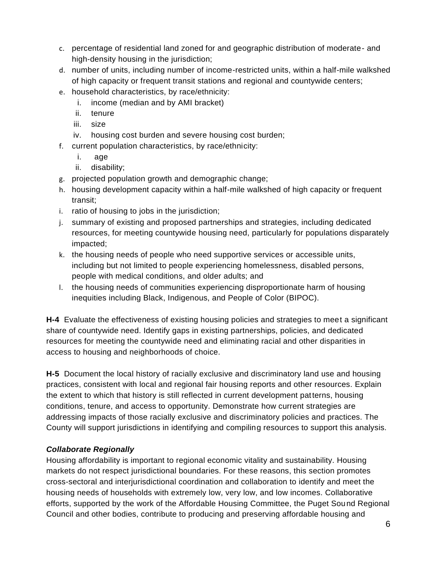- c. percentage of residential land zoned for and geographic distribution of moderate- and high-density housing in the jurisdiction;
- d. number of units, including number of income-restricted units, within a half-mile walkshed of high capacity or frequent transit stations and regional and countywide centers;
- e. household characteristics, by race/ethnicity:
	- i. income (median and by AMI bracket)
	- ii. tenure
	- iii. size
	- iv. housing cost burden and severe housing cost burden;
- f. current population characteristics, by race/ethnicity:
	- i. age
	- ii. disability;
- g. projected population growth and demographic change;
- h. housing development capacity within a half-mile walkshed of high capacity or frequent transit;
- i. ratio of housing to jobs in the jurisdiction;
- j. summary of existing and proposed partnerships and strategies, including dedicated resources, for meeting countywide housing need, particularly for populations disparately impacted;
- k. the housing needs of people who need supportive services or accessible units, including but not limited to people experiencing homelessness, disabled persons, people with medical conditions, and older adults; and
- l. the housing needs of communities experiencing disproportionate harm of housing inequities including Black, Indigenous, and People of Color (BIPOC).

**H-4** Evaluate the effectiveness of existing housing policies and strategies to meet a significant share of countywide need. Identify gaps in existing partnerships, policies, and dedicated resources for meeting the countywide need and eliminating racial and other disparities in access to housing and neighborhoods of choice.

**H-5** Document the local history of racially exclusive and discriminatory land use and housing practices, consistent with local and regional fair housing reports and other resources. Explain the extent to which that history is still reflected in current development patterns, housing conditions, tenure, and access to opportunity. Demonstrate how current strategies are addressing impacts of those racially exclusive and discriminatory policies and practices. The County will support jurisdictions in identifying and compiling resources to support this analysis.

## *Collaborate Regionally*

Housing affordability is important to regional economic vitality and sustainability. Housing markets do not respect jurisdictional boundaries. For these reasons, this section promotes cross-sectoral and interjurisdictional coordination and collaboration to identify and meet the housing needs of households with extremely low, very low, and low incomes. Collaborative efforts, supported by the work of the Affordable Housing Committee, the Puget Sound Regional Council and other bodies, contribute to producing and preserving affordable housing and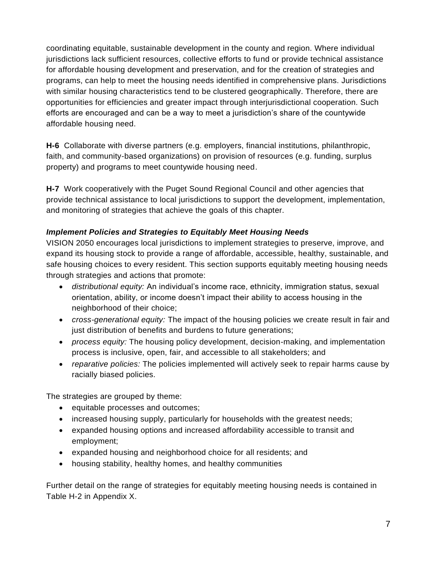coordinating equitable, sustainable development in the county and region. Where individual jurisdictions lack sufficient resources, collective efforts to fund or provide technical assistance for affordable housing development and preservation, and for the creation of strategies and programs, can help to meet the housing needs identified in comprehensive plans. Jurisdictions with similar housing characteristics tend to be clustered geographically. Therefore, there are opportunities for efficiencies and greater impact through interjurisdictional cooperation. Such efforts are encouraged and can be a way to meet a jurisdiction's share of the countywide affordable housing need.

**H-6** Collaborate with diverse partners (e.g. employers, financial institutions, philanthropic, faith, and community-based organizations) on provision of resources (e.g. funding, surplus property) and programs to meet countywide housing need.

**H-7** Work cooperatively with the Puget Sound Regional Council and other agencies that provide technical assistance to local jurisdictions to support the development, implementation, and monitoring of strategies that achieve the goals of this chapter.

## *Implement Policies and Strategies to Equitably Meet Housing Needs*

VISION 2050 encourages local jurisdictions to implement strategies to preserve, improve, and expand its housing stock to provide a range of affordable, accessible, healthy, sustainable, and safe housing choices to every resident. This section supports equitably meeting housing needs through strategies and actions that promote:

- *distributional equity:* An individual's income race, ethnicity, immigration status, sexual orientation, ability, or income doesn't impact their ability to access housing in the neighborhood of their choice;
- *cross-generational equity:* The impact of the housing policies we create result in fair and just distribution of benefits and burdens to future generations;
- *process equity:* The housing policy development, decision-making, and implementation process is inclusive, open, fair, and accessible to all stakeholders; and
- *reparative policies:* The policies implemented will actively seek to repair harms cause by racially biased policies.

The strategies are grouped by theme:

- equitable processes and outcomes;
- increased housing supply, particularly for households with the greatest needs;
- expanded housing options and increased affordability accessible to transit and employment;
- expanded housing and neighborhood choice for all residents; and
- housing stability, healthy homes, and healthy communities

Further detail on the range of strategies for equitably meeting housing needs is contained in Table H-2 in Appendix X.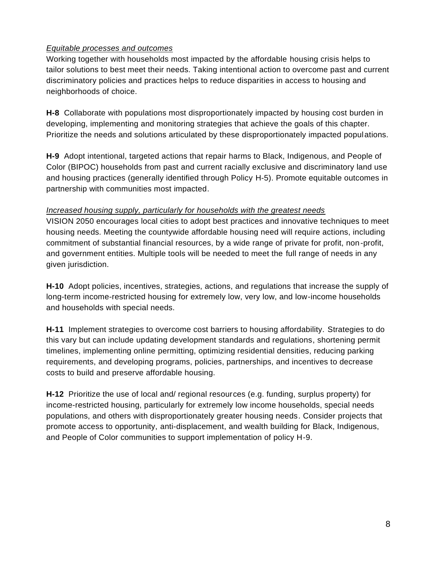### *Equitable processes and outcomes*

Working together with households most impacted by the affordable housing crisis helps to tailor solutions to best meet their needs. Taking intentional action to overcome past and current discriminatory policies and practices helps to reduce disparities in access to housing and neighborhoods of choice.

**H-8** Collaborate with populations most disproportionately impacted by housing cost burden in developing, implementing and monitoring strategies that achieve the goals of this chapter. Prioritize the needs and solutions articulated by these disproportionately impacted populations.

**H-9** Adopt intentional, targeted actions that repair harms to Black, Indigenous, and People of Color (BIPOC) households from past and current racially exclusive and discriminatory land use and housing practices (generally identified through Policy H-5). Promote equitable outcomes in partnership with communities most impacted.

### *Increased housing supply, particularly for households with the greatest needs*

VISION 2050 encourages local cities to adopt best practices and innovative techniques to meet housing needs. Meeting the countywide affordable housing need will require actions, including commitment of substantial financial resources, by a wide range of private for profit, non-profit, and government entities. Multiple tools will be needed to meet the full range of needs in any given jurisdiction.

**H-10** Adopt policies, incentives, strategies, actions, and regulations that increase the supply of long-term income-restricted housing for extremely low, very low, and low-income households and households with special needs.

**H-11** Implement strategies to overcome cost barriers to housing affordability. Strategies to do this vary but can include updating development standards and regulations, shortening permit timelines, implementing online permitting, optimizing residential densities, reducing parking requirements, and developing programs, policies, partnerships, and incentives to decrease costs to build and preserve affordable housing.

**H-12** Prioritize the use of local and/ regional resources (e.g. funding, surplus property) for income-restricted housing, particularly for extremely low income households, special needs populations, and others with disproportionately greater housing needs. Consider projects that promote access to opportunity, anti-displacement, and wealth building for Black, Indigenous, and People of Color communities to support implementation of policy H-9.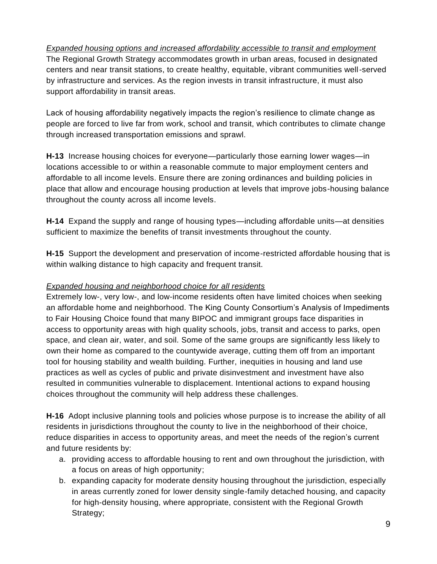*Expanded housing options and increased affordability accessible to transit and employment* The Regional Growth Strategy accommodates growth in urban areas, focused in designated centers and near transit stations, to create healthy, equitable, vibrant communities well-served by infrastructure and services. As the region invests in transit infrastructure, it must also support affordability in transit areas.

Lack of housing affordability negatively impacts the region's resilience to climate change as people are forced to live far from work, school and transit, which contributes to climate change through increased transportation emissions and sprawl.

**H-13** Increase housing choices for everyone—particularly those earning lower wages—in locations accessible to or within a reasonable commute to major employment centers and affordable to all income levels. Ensure there are zoning ordinances and building policies in place that allow and encourage housing production at levels that improve jobs-housing balance throughout the county across all income levels.

**H-14** Expand the supply and range of housing types—including affordable units—at densities sufficient to maximize the benefits of transit investments throughout the county.

**H-15** Support the development and preservation of income-restricted affordable housing that is within walking distance to high capacity and frequent transit.

### *Expanded housing and neighborhood choice for all residents*

Extremely low-, very low-, and low-income residents often have limited choices when seeking an affordable home and neighborhood. The King County Consortium's Analysis of Impediments to Fair Housing Choice found that many BIPOC and immigrant groups face disparities in access to opportunity areas with high quality schools, jobs, transit and access to parks, open space, and clean air, water, and soil. Some of the same groups are significantly less likely to own their home as compared to the countywide average, cutting them off from an important tool for housing stability and wealth building. Further, inequities in housing and land use practices as well as cycles of public and private disinvestment and investment have also resulted in communities vulnerable to displacement. Intentional actions to expand housing choices throughout the community will help address these challenges.

**H-16** Adopt inclusive planning tools and policies whose purpose is to increase the ability of all residents in jurisdictions throughout the county to live in the neighborhood of their choice, reduce disparities in access to opportunity areas, and meet the needs of the region's current and future residents by:

- a. providing access to affordable housing to rent and own throughout the jurisdiction, with a focus on areas of high opportunity;
- b. expanding capacity for moderate density housing throughout the jurisdiction, especially in areas currently zoned for lower density single-family detached housing, and capacity for high-density housing, where appropriate, consistent with the Regional Growth Strategy;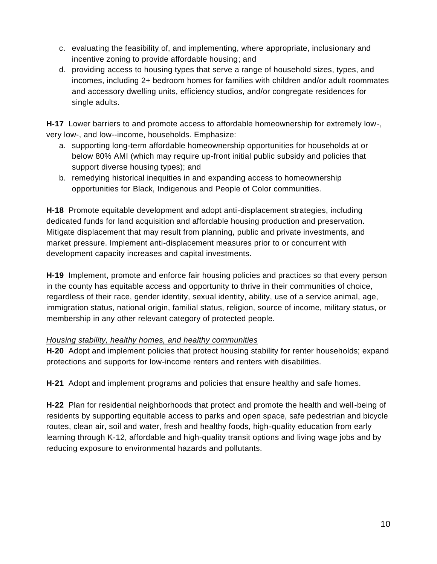- c. evaluating the feasibility of, and implementing, where appropriate, inclusionary and incentive zoning to provide affordable housing; and
- d. providing access to housing types that serve a range of household sizes, types, and incomes, including 2+ bedroom homes for families with children and/or adult roommates and accessory dwelling units, efficiency studios, and/or congregate residences for single adults.

**H-17** Lower barriers to and promote access to affordable homeownership for extremely low-, very low-, and low--income, households. Emphasize:

- a. supporting long-term affordable homeownership opportunities for households at or below 80% AMI (which may require up-front initial public subsidy and policies that support diverse housing types); and
- b. remedying historical inequities in and expanding access to homeownership opportunities for Black, Indigenous and People of Color communities.

**H-18** Promote equitable development and adopt anti-displacement strategies, including dedicated funds for land acquisition and affordable housing production and preservation. Mitigate displacement that may result from planning, public and private investments, and market pressure. Implement anti-displacement measures prior to or concurrent with development capacity increases and capital investments.

**H-19** Implement, promote and enforce fair housing policies and practices so that every person in the county has equitable access and opportunity to thrive in their communities of choice, regardless of their race, gender identity, sexual identity, ability, use of a service animal, age, immigration status, national origin, familial status, religion, source of income, military status, or membership in any other relevant category of protected people.

### *Housing stability, healthy homes, and healthy communities*

**H-20** Adopt and implement policies that protect housing stability for renter households; expand protections and supports for low-income renters and renters with disabilities.

**H-21** Adopt and implement programs and policies that ensure healthy and safe homes.

**H-22** Plan for residential neighborhoods that protect and promote the health and well-being of residents by supporting equitable access to parks and open space, safe pedestrian and bicycle routes, clean air, soil and water, fresh and healthy foods, high-quality education from early learning through K-12, affordable and high-quality transit options and living wage jobs and by reducing exposure to environmental hazards and pollutants.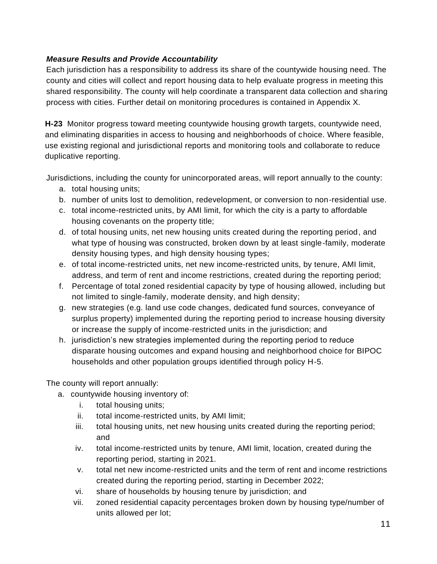## *Measure Results and Provide Accountability*

Each jurisdiction has a responsibility to address its share of the countywide housing need. The county and cities will collect and report housing data to help evaluate progress in meeting this shared responsibility. The county will help coordinate a transparent data collection and sharing process with cities. Further detail on monitoring procedures is contained in Appendix X.

**H-23** Monitor progress toward meeting countywide housing growth targets, countywide need, and eliminating disparities in access to housing and neighborhoods of choice. Where feasible, use existing regional and jurisdictional reports and monitoring tools and collaborate to reduce duplicative reporting.

Jurisdictions, including the county for unincorporated areas, will report annually to the county:

- a. total housing units;
- b. number of units lost to demolition, redevelopment, or conversion to non-residential use.
- c. total income-restricted units, by AMI limit, for which the city is a party to affordable housing covenants on the property title;
- d. of total housing units, net new housing units created during the reporting period, and what type of housing was constructed, broken down by at least single-family, moderate density housing types, and high density housing types;
- e. of total income-restricted units, net new income-restricted units, by tenure, AMI limit, address, and term of rent and income restrictions, created during the reporting period;
- f. Percentage of total zoned residential capacity by type of housing allowed, including but not limited to single-family, moderate density, and high density;
- g. new strategies (e.g. land use code changes, dedicated fund sources, conveyance of surplus property) implemented during the reporting period to increase housing diversity or increase the supply of income-restricted units in the jurisdiction; and
- h. jurisdiction's new strategies implemented during the reporting period to reduce disparate housing outcomes and expand housing and neighborhood choice for BIPOC households and other population groups identified through policy H-5.

The county will report annually:

- a. countywide housing inventory of:
	- i. total housing units;
	- ii. total income-restricted units, by AMI limit;
	- iii. total housing units, net new housing units created during the reporting period; and
	- iv. total income-restricted units by tenure, AMI limit, location, created during the reporting period, starting in 2021.
	- v. total net new income-restricted units and the term of rent and income restrictions created during the reporting period, starting in December 2022;
	- vi. share of households by housing tenure by jurisdiction; and
	- vii. zoned residential capacity percentages broken down by housing type/number of units allowed per lot;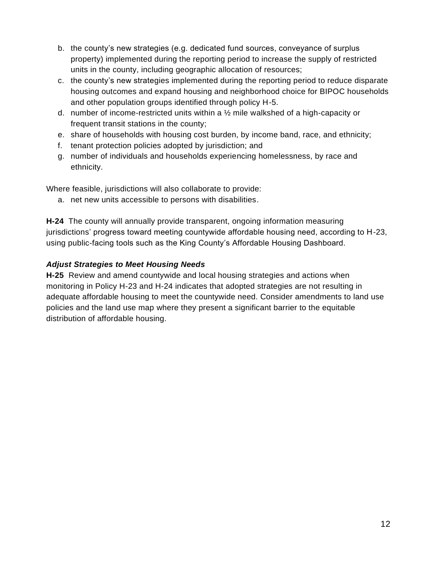- b. the county's new strategies (e.g. dedicated fund sources, conveyance of surplus property) implemented during the reporting period to increase the supply of restricted units in the county, including geographic allocation of resources;
- c. the county's new strategies implemented during the reporting period to reduce disparate housing outcomes and expand housing and neighborhood choice for BIPOC households and other population groups identified through policy H-5.
- d. number of income-restricted units within a  $\frac{1}{2}$  mile walkshed of a high-capacity or frequent transit stations in the county;
- e. share of households with housing cost burden, by income band, race, and ethnicity;
- f. tenant protection policies adopted by jurisdiction; and
- g. number of individuals and households experiencing homelessness, by race and ethnicity.

Where feasible, jurisdictions will also collaborate to provide:

a. net new units accessible to persons with disabilities.

**H-24** The county will annually provide transparent, ongoing information measuring jurisdictions' progress toward meeting countywide affordable housing need, according to H-23, using public-facing tools such as the King County's Affordable Housing Dashboard.

## *Adjust Strategies to Meet Housing Needs*

**H-25** Review and amend countywide and local housing strategies and actions when monitoring in Policy H-23 and H-24 indicates that adopted strategies are not resulting in adequate affordable housing to meet the countywide need. Consider amendments to land use policies and the land use map where they present a significant barrier to the equitable distribution of affordable housing.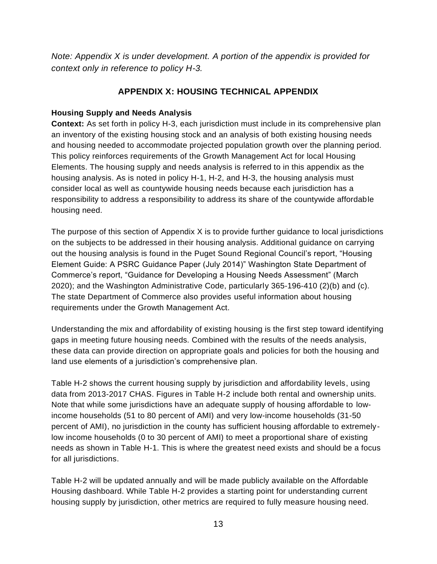*Note: Appendix X is under development. A portion of the appendix is provided for context only in reference to policy H-3.*

# **APPENDIX X: HOUSING TECHNICAL APPENDIX**

### **Housing Supply and Needs Analysis**

**Context:** As set forth in policy H-3, each jurisdiction must include in its comprehensive plan an inventory of the existing housing stock and an analysis of both existing housing needs and housing needed to accommodate projected population growth over the planning period. This policy reinforces requirements of the Growth Management Act for local Housing Elements. The housing supply and needs analysis is referred to in this appendix as the housing analysis. As is noted in policy H-1, H-2, and H-3, the housing analysis must consider local as well as countywide housing needs because each jurisdiction has a responsibility to address a responsibility to address its share of the countywide affordable housing need.

The purpose of this section of Appendix X is to provide further guidance to local jurisdictions on the subjects to be addressed in their housing analysis. Additional guidance on carrying out the housing analysis is found in the Puget Sound Regional Council's report, "Housing Element Guide: A PSRC Guidance Paper (July 2014)" Washington State Department of Commerce's report, "Guidance for Developing a Housing Needs Assessment" (March 2020); and the Washington Administrative Code, particularly 365-196-410 (2)(b) and (c). The state Department of Commerce also provides useful information about housing requirements under the Growth Management Act.

Understanding the mix and affordability of existing housing is the first step toward identifying gaps in meeting future housing needs. Combined with the results of the needs analysis, these data can provide direction on appropriate goals and policies for both the housing and land use elements of a jurisdiction's comprehensive plan.

Table H-2 shows the current housing supply by jurisdiction and affordability levels, using data from 2013-2017 CHAS. Figures in Table H-2 include both rental and ownership units. Note that while some jurisdictions have an adequate supply of housing affordable to lowincome households (51 to 80 percent of AMI) and very low-income households (31-50 percent of AMI), no jurisdiction in the county has sufficient housing affordable to extremelylow income households (0 to 30 percent of AMI) to meet a proportional share of existing needs as shown in Table H-1. This is where the greatest need exists and should be a focus for all jurisdictions.

Table H-2 will be updated annually and will be made publicly available on the Affordable Housing dashboard. While Table H-2 provides a starting point for understanding current housing supply by jurisdiction, other metrics are required to fully measure housing need.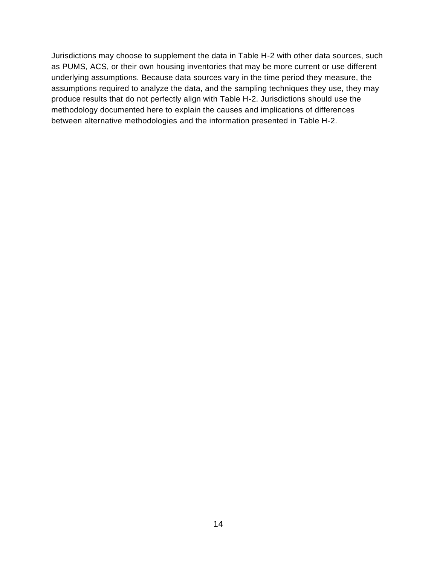Jurisdictions may choose to supplement the data in Table H-2 with other data sources, such as PUMS, ACS, or their own housing inventories that may be more current or use different underlying assumptions. Because data sources vary in the time period they measure, the assumptions required to analyze the data, and the sampling techniques they use, they may produce results that do not perfectly align with Table H-2. Jurisdictions should use the methodology documented here to explain the causes and implications of differences between alternative methodologies and the information presented in Table H-2.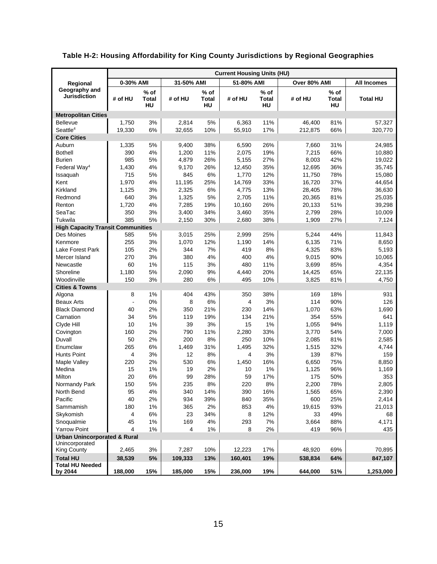|                                          |                | <b>Current Housing Units (HU)</b> |            |                       |            |                     |              |                              |                    |
|------------------------------------------|----------------|-----------------------------------|------------|-----------------------|------------|---------------------|--------------|------------------------------|--------------------|
| Regional                                 | 0-30% AMI      |                                   | 31-50% AMI |                       | 51-80% AMI |                     | Over 80% AMI |                              | <b>All Incomes</b> |
| Geography and<br><b>Jurisdiction</b>     | # of HU        | $%$ of<br>Total<br>HU             | # of HU    | $%$ of<br>Total<br>HU | # of HU    | % of<br>Total<br>HU | # of HU      | $%$ of<br><b>Total</b><br>HU | <b>Total HU</b>    |
| <b>Metropolitan Cities</b>               |                |                                   |            |                       |            |                     |              |                              |                    |
| <b>Bellevue</b>                          | 1,750          | 3%                                | 2,814      | 5%                    | 6,363      | 11%                 | 46,400       | 81%                          | 57,327             |
| Seattle <sup>4</sup>                     | 19,330         | $6\%$                             | 32,655     | 10%                   | 55,910     | 17%                 | 212,875      | 66%                          | 320,770            |
| <b>Core Cities</b>                       |                |                                   |            |                       |            |                     |              |                              |                    |
| Auburn                                   | 1,335          | 5%                                | 9,400      | 38%                   | 6,590      | 26%                 | 7,660        | 31%                          | 24,985             |
| <b>Bothell</b>                           | 390            | 4%                                | 1,200      | 11%                   | 2,075      | 19%                 | 7,215        | 66%                          | 10,880             |
| <b>Burien</b>                            | 985            | 5%                                | 4,879      | 26%                   | 5,155      | 27%                 | 8,003        | 42%                          | 19,022             |
| Federal Way <sup>4</sup>                 | 1,430          | 4%                                | 9,170      | 26%                   | 12,450     | 35%                 | 12,695       | 36%                          | 35,745             |
| Issaquah                                 | 715            | 5%                                | 845        | 6%                    | 1,770      | 12%                 | 11,750       | 78%                          | 15,080             |
| Kent                                     | 1,970          | 4%                                | 11,195     | 25%                   | 14,769     | 33%                 | 16,720       | 37%                          | 44,654             |
| Kirkland                                 | 1,125          | 3%                                | 2,325      | 6%                    | 4,775      | 13%                 | 28,405       | 78%                          | 36,630             |
| Redmond                                  | 640            | 3%                                | 1,325      | 5%                    | 2,705      | 11%                 | 20,365       | 81%                          | 25,035             |
| Renton                                   | 1,720          | 4%                                | 7,285      | 19%                   | 10,160     | 26%                 | 20,133       | 51%                          | 39,298             |
| SeaTac                                   | 350            | 3%                                | 3,400      | 34%                   | 3,460      | 35%                 | 2,799        | 28%                          | 10,009             |
| Tukwila                                  | 385            | 5%                                | 2,150      | 30%                   | 2,680      | 38%                 | 1,909        | 27%                          | 7,124              |
| <b>High Capacity Transit Communities</b> |                |                                   |            |                       |            |                     |              |                              |                    |
| Des Moines                               | 585            | 5%                                | 3,015      | 25%                   | 2,999      | 25%                 | 5,244        | 44%                          | 11,843             |
| Kenmore                                  | 255            | 3%                                | 1,070      | 12%                   | 1,190      | 14%                 | 6,135        | 71%                          | 8,650              |
| Lake Forest Park                         | 105            | 2%                                | 344        | 7%                    | 419        | 8%                  | 4,325        | 83%                          | 5,193              |
| Mercer Island                            | 270            | 3%                                | 380        | 4%                    | 400        | 4%                  | 9,015        | 90%                          | 10,065             |
| Newcastle                                | 60             | 1%                                | 115        | 3%                    | 480        | 11%                 | 3,699        | 85%                          | 4,354              |
| Shoreline                                | 1,180          | 5%                                | 2,090      | 9%                    | 4,440      | 20%                 | 14,425       | 65%                          | 22,135             |
| Woodinville                              | 150            | 3%                                | 280        | 6%                    | 495        | 10%                 | 3,825        | 81%                          | 4,750              |
| <b>Cities &amp; Towns</b>                |                |                                   |            |                       |            |                     |              |                              |                    |
| Algona                                   | 8              | 1%                                | 404        | 43%                   | 350        | 38%                 | 169          | 18%                          | 931                |
| <b>Beaux Arts</b>                        | $\blacksquare$ | 0%                                | 8          | 6%                    | 4          | 3%                  | 114          | 90%                          | 126                |
| <b>Black Diamond</b>                     | 40             | 2%                                | 350        | 21%                   | 230        | 14%                 | 1,070        | 63%                          | 1,690              |
| Carnation                                | 34             | 5%                                | 119        | 19%                   | 134        | 21%                 | 354          | 55%                          | 641                |
| Clyde Hill                               | 10             | 1%                                | 39         | 3%                    | 15         | 1%                  | 1,055        | 94%                          | 1,119              |
| Covington                                | 160            | 2%                                | 790        | 11%                   | 2,280      | 33%                 | 3,770        | 54%                          | 7,000              |
| Duvall                                   | 50             | 2%                                | 200        | 8%                    | 250        | 10%                 | 2,085        | 81%                          | 2,585              |
| Enumclaw                                 | 265            | 6%                                | 1,469      | 31%                   | 1,495      | 32%                 | 1,515        | 32%                          | 4,744              |
| <b>Hunts Point</b>                       | 4              | 3%                                | 12         | 8%                    | 4          | 3%                  | 139          | 87%                          | 159                |
| Maple Valley                             | 220            | 2%                                | 530        | 6%                    | 1,450      | 16%                 | 6,650        | 75%                          | 8,850              |
| Medina                                   | 15             | 1%                                | 19         | 2%                    | 10         | 1%                  | 1,125        | 96%                          | 1,169              |
| Milton                                   | 20             | 6%                                | 99         | 28%                   | 59         | 17%                 | 175          | 50%                          | 353                |
| Normandy Park                            | 150            | $5\%$                             | 235        | 8%                    | 220        | $8\%$               | 2,200        | 78%                          | 2,805              |
| North Bend                               | 95             | 4%                                | 340        | 14%                   | 390        | 16%                 | 1,565        | 65%                          | 2,390              |
| Pacific                                  | 40             | 2%                                | 934        | 39%                   | 840        | 35%                 | 600          | 25%                          | 2,414              |
| Sammamish                                | 180            | 1%                                | 365        | 2%                    | 853        | 4%                  | 19,615       | 93%                          | 21,013             |
| Skykomish                                | 4              | 6%                                | 23         | 34%                   | 8          | 12%                 | 33           | 49%                          | 68                 |
| Snoqualmie                               | 45             | 1%                                | 169        | 4%                    | 293        | 7%                  | 3,664        | 88%                          | 4,171              |
| <b>Yarrow Point</b>                      | 4              | $1\%$                             | 4          | 1%                    | 8          | 2%                  | 419          | 96%                          | 435                |
| <b>Urban Unincorporated &amp; Rural</b>  |                |                                   |            |                       |            |                     |              |                              |                    |
| Unincorporated                           |                |                                   |            |                       |            |                     |              |                              |                    |
| King County                              | 2,465          | $3%$                              | 7,287      | 10%                   | 12,223     | 17%                 | 48,920       | 69%                          | 70,895             |
| <b>Total HU</b>                          | 38,539         | 5%                                | 109,333    | 13%                   | 160,401    | 19%                 | 538,834      | 64%                          | 847,107            |
| <b>Total HU Needed</b><br>by 2044        | 188,000        | 15%                               | 185,000    | 15%                   | 236,000    | 19%                 | 644,000      | 51%                          | 1,253,000          |

# **Table H-2: Housing Affordability for King County Jurisdictions by Regional Geographies**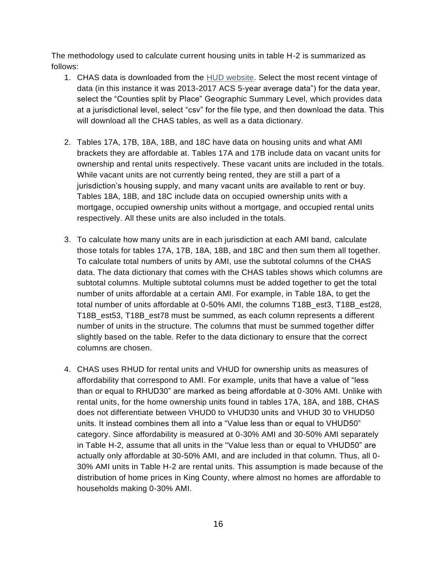The methodology used to calculate current housing units in table H-2 is summarized as follows:

- 1. CHAS data is downloaded from the [HUD website.](https://www.huduser.gov/portal/datasets/cp.html#2006-2017_data) Select the most recent vintage of data (in this instance it was 2013-2017 ACS 5-year average data") for the data year, select the "Counties split by Place" Geographic Summary Level, which provides data at a jurisdictional level, select "csv" for the file type, and then download the data. This will download all the CHAS tables, as well as a data dictionary.
- 2. Tables 17A, 17B, 18A, 18B, and 18C have data on housing units and what AMI brackets they are affordable at. Tables 17A and 17B include data on vacant units for ownership and rental units respectively. These vacant units are included in the totals. While vacant units are not currently being rented, they are still a part of a jurisdiction's housing supply, and many vacant units are available to rent or buy. Tables 18A, 18B, and 18C include data on occupied ownership units with a mortgage, occupied ownership units without a mortgage, and occupied rental units respectively. All these units are also included in the totals.
- 3. To calculate how many units are in each jurisdiction at each AMI band, calculate those totals for tables 17A, 17B, 18A, 18B, and 18C and then sum them all together. To calculate total numbers of units by AMI, use the subtotal columns of the CHAS data. The data dictionary that comes with the CHAS tables shows which columns are subtotal columns. Multiple subtotal columns must be added together to get the total number of units affordable at a certain AMI. For example, in Table 18A, to get the total number of units affordable at 0-50% AMI, the columns T18B\_est3, T18B\_est28, T18B\_est53, T18B\_est78 must be summed, as each column represents a different number of units in the structure. The columns that must be summed together differ slightly based on the table. Refer to the data dictionary to ensure that the correct columns are chosen.
- 4. CHAS uses RHUD for rental units and VHUD for ownership units as measures of affordability that correspond to AMI. For example, units that have a value of "less than or equal to RHUD30" are marked as being affordable at 0-30% AMI. Unlike with rental units, for the home ownership units found in tables 17A, 18A, and 18B, CHAS does not differentiate between VHUD0 to VHUD30 units and VHUD 30 to VHUD50 units. It instead combines them all into a "Value less than or equal to VHUD50" category. Since affordability is measured at 0-30% AMI and 30-50% AMI separately in Table H-2, assume that all units in the "Value less than or equal to VHUD50" are actually only affordable at 30-50% AMI, and are included in that column. Thus, all 0- 30% AMI units in Table H-2 are rental units. This assumption is made because of the distribution of home prices in King County, where almost no homes are affordable to households making 0-30% AMI.